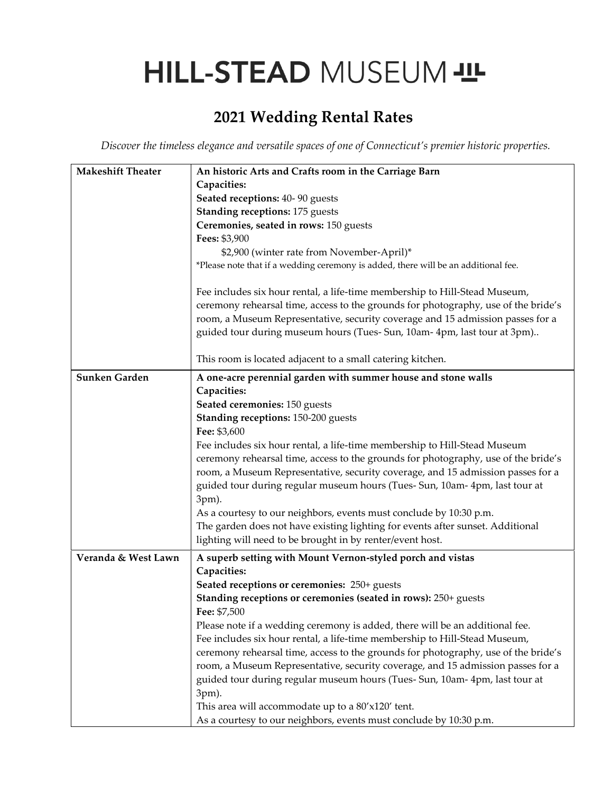# HILL-STEAD MUSEUM - IL

# **2021 Wedding Rental Rates**

*Discover the timeless elegance and versatile spaces of one of Connecticut's premier historic properties.*

| <b>Makeshift Theater</b> | An historic Arts and Crafts room in the Carriage Barn                              |
|--------------------------|------------------------------------------------------------------------------------|
|                          | Capacities:                                                                        |
|                          | Seated receptions: 40-90 guests                                                    |
|                          | <b>Standing receptions: 175 guests</b>                                             |
|                          | Ceremonies, seated in rows: 150 guests                                             |
|                          | Fees: \$3,900                                                                      |
|                          | \$2,900 (winter rate from November-April)*                                         |
|                          | *Please note that if a wedding ceremony is added, there will be an additional fee. |
|                          |                                                                                    |
|                          | Fee includes six hour rental, a life-time membership to Hill-Stead Museum,         |
|                          | ceremony rehearsal time, access to the grounds for photography, use of the bride's |
|                          | room, a Museum Representative, security coverage and 15 admission passes for a     |
|                          | guided tour during museum hours (Tues- Sun, 10am- 4pm, last tour at 3pm)           |
|                          | This room is located adjacent to a small catering kitchen.                         |
| Sunken Garden            | A one-acre perennial garden with summer house and stone walls                      |
|                          | Capacities:                                                                        |
|                          | Seated ceremonies: 150 guests                                                      |
|                          | Standing receptions: 150-200 guests                                                |
|                          | Fee: \$3,600                                                                       |
|                          | Fee includes six hour rental, a life-time membership to Hill-Stead Museum          |
|                          | ceremony rehearsal time, access to the grounds for photography, use of the bride's |
|                          | room, a Museum Representative, security coverage, and 15 admission passes for a    |
|                          | guided tour during regular museum hours (Tues- Sun, 10am- 4pm, last tour at        |
|                          | 3pm).                                                                              |
|                          | As a courtesy to our neighbors, events must conclude by 10:30 p.m.                 |
|                          | The garden does not have existing lighting for events after sunset. Additional     |
|                          | lighting will need to be brought in by renter/event host.                          |
| Veranda & West Lawn      | A superb setting with Mount Vernon-styled porch and vistas                         |
|                          | Capacities:                                                                        |
|                          | Seated receptions or ceremonies: 250+ guests                                       |
|                          | Standing receptions or ceremonies (seated in rows): 250+ guests                    |
|                          | Fee: \$7,500                                                                       |
|                          | Please note if a wedding ceremony is added, there will be an additional fee.       |
|                          | Fee includes six hour rental, a life-time membership to Hill-Stead Museum,         |
|                          | ceremony rehearsal time, access to the grounds for photography, use of the bride's |
|                          | room, a Museum Representative, security coverage, and 15 admission passes for a    |
|                          | guided tour during regular museum hours (Tues- Sun, 10am- 4pm, last tour at        |
|                          | 3pm).                                                                              |
|                          | This area will accommodate up to a 80'x120' tent.                                  |
|                          | As a courtesy to our neighbors, events must conclude by 10:30 p.m.                 |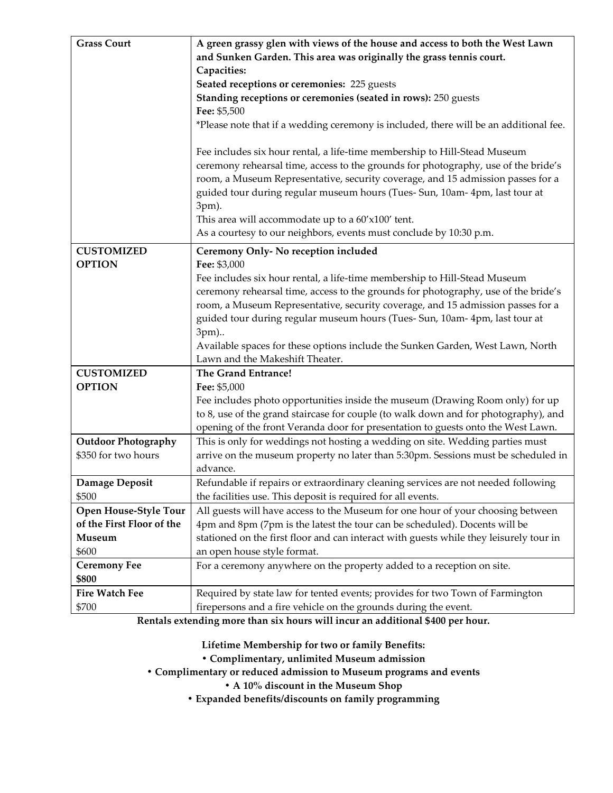| <b>Grass Court</b>           | A green grassy glen with views of the house and access to both the West Lawn                                                                                                                                                                                                                                                               |
|------------------------------|--------------------------------------------------------------------------------------------------------------------------------------------------------------------------------------------------------------------------------------------------------------------------------------------------------------------------------------------|
|                              | and Sunken Garden. This area was originally the grass tennis court.                                                                                                                                                                                                                                                                        |
|                              | Capacities:                                                                                                                                                                                                                                                                                                                                |
|                              | Seated receptions or ceremonies: 225 guests                                                                                                                                                                                                                                                                                                |
|                              | Standing receptions or ceremonies (seated in rows): 250 guests                                                                                                                                                                                                                                                                             |
|                              | Fee: \$5,500                                                                                                                                                                                                                                                                                                                               |
|                              | *Please note that if a wedding ceremony is included, there will be an additional fee.                                                                                                                                                                                                                                                      |
|                              | Fee includes six hour rental, a life-time membership to Hill-Stead Museum<br>ceremony rehearsal time, access to the grounds for photography, use of the bride's<br>room, a Museum Representative, security coverage, and 15 admission passes for a<br>guided tour during regular museum hours (Tues- Sun, 10am- 4pm, last tour at<br>3pm). |
|                              | This area will accommodate up to a 60'x100' tent.                                                                                                                                                                                                                                                                                          |
|                              | As a courtesy to our neighbors, events must conclude by 10:30 p.m.                                                                                                                                                                                                                                                                         |
| <b>CUSTOMIZED</b>            | Ceremony Only- No reception included                                                                                                                                                                                                                                                                                                       |
| <b>OPTION</b>                | Fee: \$3,000                                                                                                                                                                                                                                                                                                                               |
|                              | Fee includes six hour rental, a life-time membership to Hill-Stead Museum                                                                                                                                                                                                                                                                  |
|                              | ceremony rehearsal time, access to the grounds for photography, use of the bride's                                                                                                                                                                                                                                                         |
|                              | room, a Museum Representative, security coverage, and 15 admission passes for a                                                                                                                                                                                                                                                            |
|                              | guided tour during regular museum hours (Tues- Sun, 10am- 4pm, last tour at                                                                                                                                                                                                                                                                |
|                              | 3pm)                                                                                                                                                                                                                                                                                                                                       |
|                              | Available spaces for these options include the Sunken Garden, West Lawn, North                                                                                                                                                                                                                                                             |
|                              | Lawn and the Makeshift Theater.                                                                                                                                                                                                                                                                                                            |
| <b>CUSTOMIZED</b>            | The Grand Entrance!                                                                                                                                                                                                                                                                                                                        |
| <b>OPTION</b>                | Fee: \$5,000                                                                                                                                                                                                                                                                                                                               |
|                              | Fee includes photo opportunities inside the museum (Drawing Room only) for up<br>to 8, use of the grand staircase for couple (to walk down and for photography), and<br>opening of the front Veranda door for presentation to guests onto the West Lawn.                                                                                   |
| <b>Outdoor Photography</b>   | This is only for weddings not hosting a wedding on site. Wedding parties must                                                                                                                                                                                                                                                              |
| \$350 for two hours          | arrive on the museum property no later than 5:30pm. Sessions must be scheduled in                                                                                                                                                                                                                                                          |
|                              | advance.                                                                                                                                                                                                                                                                                                                                   |
| Damage Deposit               | Refundable if repairs or extraordinary cleaning services are not needed following                                                                                                                                                                                                                                                          |
| \$500                        | the facilities use. This deposit is required for all events.                                                                                                                                                                                                                                                                               |
| Open House-Style Tour        | All guests will have access to the Museum for one hour of your choosing between                                                                                                                                                                                                                                                            |
| of the First Floor of the    | 4pm and 8pm (7pm is the latest the tour can be scheduled). Docents will be                                                                                                                                                                                                                                                                 |
| Museum                       | stationed on the first floor and can interact with guests while they leisurely tour in                                                                                                                                                                                                                                                     |
| \$600                        | an open house style format.                                                                                                                                                                                                                                                                                                                |
| <b>Ceremony Fee</b><br>\$800 | For a ceremony anywhere on the property added to a reception on site.                                                                                                                                                                                                                                                                      |
| <b>Fire Watch Fee</b>        | Required by state law for tented events; provides for two Town of Farmington                                                                                                                                                                                                                                                               |
| \$700                        | firepersons and a fire vehicle on the grounds during the event.                                                                                                                                                                                                                                                                            |
|                              |                                                                                                                                                                                                                                                                                                                                            |

**Rentals extending more than six hours will incur an additional \$400 per hour.**

**Lifetime Membership for two or family Benefits:**

**• Complimentary, unlimited Museum admission** 

**• Complimentary or reduced admission to Museum programs and events**

**• A 10% discount in the Museum Shop**

**• Expanded benefits/discounts on family programming**